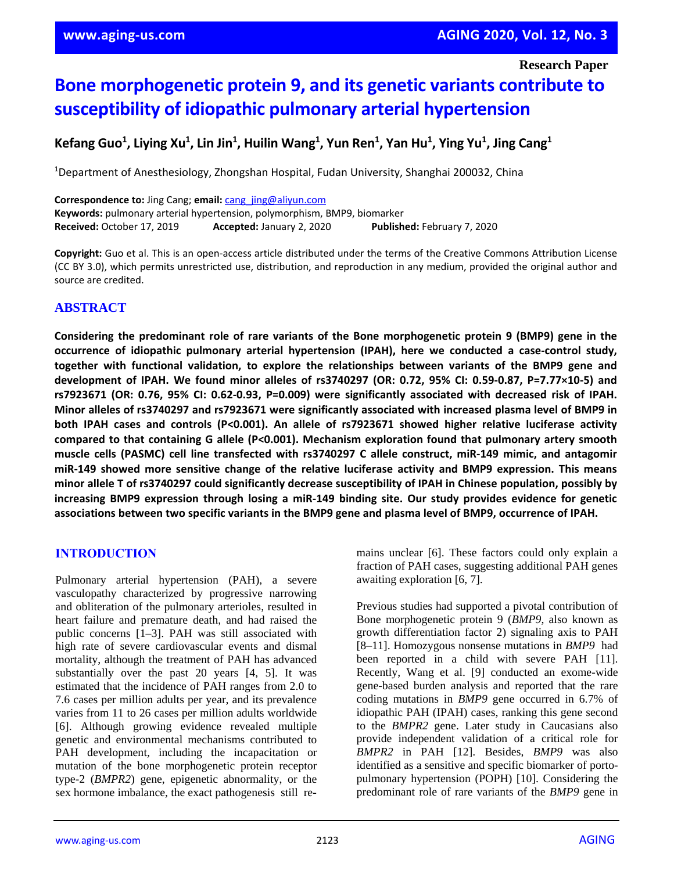**Research Paper**

# **Bone morphogenetic protein 9, and its genetic variants contribute to susceptibility of idiopathic pulmonary arterial hypertension**

**Kefang Guo<sup>1</sup>, Liying Xu<sup>1</sup>, Lin Jin<sup>1</sup>, Huilin Wang<sup>1</sup>, Yun Ren<sup>1</sup>, Yan Hu<sup>1</sup>, Ying Yu<sup>1</sup>, Jing Cang<sup>1</sup>** 

<sup>1</sup>Department of Anesthesiology, Zhongshan Hospital, Fudan University, Shanghai 200032, China

**Correspondence to:** Jing Cang; **email:** [cang\\_jing@aliyun.com](mailto:cang_jing@aliyun.com) **Keywords:** pulmonary arterial hypertension, polymorphism, BMP9, biomarker **Received:** October 17, 2019 **Accepted:** January 2, 2020 **Published:** February 7, 2020

**Copyright:** Guo et al. This is an open-access article distributed under the terms of the Creative Commons Attribution License (CC BY 3.0), which permits unrestricted use, distribution, and reproduction in any medium, provided the original author and source are credited.

# **ABSTRACT**

**Considering the predominant role of rare variants of the Bone morphogenetic protein 9 (BMP9) gene in the occurrence of idiopathic pulmonary arterial hypertension (IPAH), here we conducted a case-control study, together with functional validation, to explore the relationships between variants of the BMP9 gene and development of IPAH. We found minor alleles of rs3740297 (OR: 0.72, 95% CI: 0.59-0.87, P=7.77×10-5) and rs7923671 (OR: 0.76, 95% CI: 0.62-0.93, P=0.009) were significantly associated with decreased risk of IPAH. Minor alleles of rs3740297 and rs7923671 were significantly associated with increased plasma level of BMP9 in both IPAH cases and controls (P<0.001). An allele of rs7923671 showed higher relative luciferase activity compared to that containing G allele (P<0.001). Mechanism exploration found that pulmonary artery smooth muscle cells (PASMC) cell line transfected with rs3740297 C allele construct, miR-149 mimic, and antagomir miR-149 showed more sensitive change of the relative luciferase activity and BMP9 expression. This means** minor allele T of rs3740297 could significantly decrease susceptibility of IPAH in Chinese population, possibly by **increasing BMP9 expression through losing a miR-149 binding site. Our study provides evidence for genetic associations between two specific variants in the BMP9 gene and plasma level of BMP9, occurrence of IPAH.**

# **INTRODUCTION**

Pulmonary arterial hypertension (PAH), a severe vasculopathy characterized by progressive narrowing and obliteration of the pulmonary arterioles, resulted in heart failure and premature death, and had raised the public concerns [1–3]. PAH was still associated with high rate of severe cardiovascular events and dismal mortality, although the treatment of PAH has advanced substantially over the past 20 years [4, 5]. It was estimated that the incidence of PAH ranges from 2.0 to 7.6 cases per million adults per year, and its prevalence varies from 11 to 26 cases per million adults worldwide [6]. Although growing evidence revealed multiple genetic and environmental mechanisms contributed to PAH development, including the incapacitation or mutation of the bone morphogenetic protein receptor type-2 (*BMPR2*) gene, epigenetic abnormality, or the sex hormone imbalance, the exact pathogenesis still remains unclear [6]. These factors could only explain a fraction of PAH cases, suggesting additional PAH genes awaiting exploration [6, 7].

Previous studies had supported a pivotal contribution of Bone morphogenetic protein 9 (*BMP9*, also known as growth differentiation factor 2) signaling axis to PAH [8–11]. Homozygous nonsense mutations in *BMP9* had been reported in a child with severe PAH [11]. Recently, Wang et al. [9] conducted an exome-wide gene-based burden analysis and reported that the rare coding mutations in *BMP9* gene occurred in 6.7% of idiopathic PAH (IPAH) cases, ranking this gene second to the *BMPR2* gene. Later study in Caucasians also provide independent validation of a critical role for *BMPR2* in PAH [12]. Besides, *BMP9* was also identified as a sensitive and specific biomarker of portopulmonary hypertension (POPH) [10]. Considering the predominant role of rare variants of the *BMP9* gene in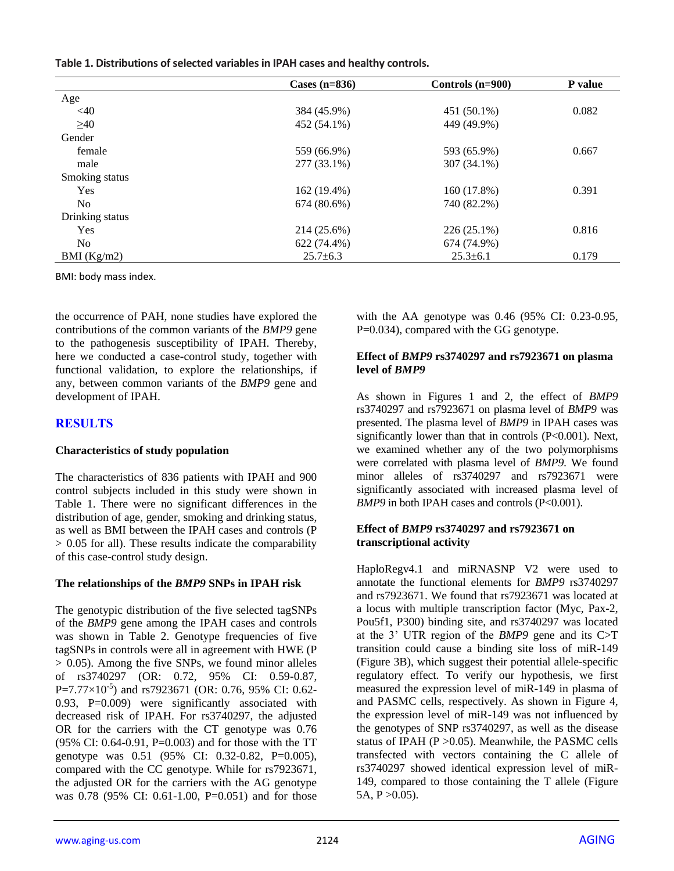|  |  |  | Table 1. Distributions of selected variables in IPAH cases and healthy controls. |  |
|--|--|--|----------------------------------------------------------------------------------|--|
|--|--|--|----------------------------------------------------------------------------------|--|

|                 | Cases $(n=836)$ | Controls (n=900) | <b>P</b> value |
|-----------------|-----------------|------------------|----------------|
| Age             |                 |                  |                |
| $<$ 40          | 384 (45.9%)     | 451 (50.1%)      | 0.082          |
| >40             | 452 (54.1%)     | 449 (49.9%)      |                |
| Gender          |                 |                  |                |
| female          | 559 (66.9%)     | 593 (65.9%)      | 0.667          |
| male            | 277 (33.1%)     | 307 (34.1%)      |                |
| Smoking status  |                 |                  |                |
| Yes             | 162 (19.4%)     | 160 (17.8%)      | 0.391          |
| N <sub>0</sub>  | 674 (80.6%)     | 740 (82.2%)      |                |
| Drinking status |                 |                  |                |
| Yes             | 214 (25.6%)     | 226 (25.1%)      | 0.816          |
| N <sub>0</sub>  | 622 (74.4%)     | 674 (74.9%)      |                |
| BMI (Kg/m2)     | $25.7 \pm 6.3$  | $25.3 \pm 6.1$   | 0.179          |

BMI: body mass index.

the occurrence of PAH, none studies have explored the contributions of the common variants of the *BMP9* gene to the pathogenesis susceptibility of IPAH. Thereby, here we conducted a case-control study, together with functional validation, to explore the relationships, if any, between common variants of the *BMP9* gene and development of IPAH.

# **RESULTS**

## **Characteristics of study population**

The characteristics of 836 patients with IPAH and 900 control subjects included in this study were shown in Table 1. There were no significant differences in the distribution of age, gender, smoking and drinking status, as well as BMI between the IPAH cases and controls (P > 0.05 for all). These results indicate the comparability of this case-control study design.

## **The relationships of the** *BMP9* **SNPs in IPAH risk**

The genotypic distribution of the five selected tagSNPs of the *BMP9* gene among the IPAH cases and controls was shown in Table 2. Genotype frequencies of five tagSNPs in controls were all in agreement with HWE (P > 0.05). Among the five SNPs, we found minor alleles of rs3740297 (OR: 0.72, 95% CI: 0.59-0.87,  $P=7.77\times10^{-5}$ ) and rs7923671 (OR: 0.76, 95% CI: 0.62-0.93, P=0.009) were significantly associated with decreased risk of IPAH. For rs3740297, the adjusted OR for the carriers with the CT genotype was 0.76 (95% CI: 0.64-0.91, P=0.003) and for those with the TT genotype was 0.51 (95% CI: 0.32-0.82, P=0.005), compared with the CC genotype. While for rs7923671, the adjusted OR for the carriers with the AG genotype was 0.78 (95% CI: 0.61-1.00, P=0.051) and for those with the AA genotype was 0.46 (95% CI: 0.23-0.95, P=0.034), compared with the GG genotype.

#### **Effect of** *BMP9* **rs3740297 and rs7923671 on plasma level of** *BMP9*

As shown in Figures 1 and 2, the effect of *BMP9* rs3740297 and rs7923671 on plasma level of *BMP9* was presented. The plasma level of *BMP9* in IPAH cases was significantly lower than that in controls (P<0.001). Next, we examined whether any of the two polymorphisms were correlated with plasma level of *BMP9*. We found minor alleles of rs3740297 and rs7923671 were significantly associated with increased plasma level of *BMP9* in both IPAH cases and controls (P<0.001).

## **Effect of** *BMP9* **rs3740297 and rs7923671 on transcriptional activity**

HaploRegv4.1 and miRNASNP V2 were used to annotate the functional elements for *BMP9* rs3740297 and rs7923671. We found that rs7923671 was located at a locus with multiple transcription factor (Myc, Pax-2, Pou5f1, P300) binding site, and rs3740297 was located at the 3' UTR region of the *BMP9* gene and its C>T transition could cause a binding site loss of miR-149 (Figure 3B), which suggest their potential allele-specific regulatory effect. To verify our hypothesis, we first measured the expression level of miR-149 in plasma of and PASMC cells, respectively. As shown in Figure 4, the expression level of miR-149 was not influenced by the genotypes of SNP rs3740297, as well as the disease status of IPAH ( $P > 0.05$ ). Meanwhile, the PASMC cells transfected with vectors containing the C allele of rs3740297 showed identical expression level of miR-149, compared to those containing the T allele (Figure  $5A, P > 0.05$ ).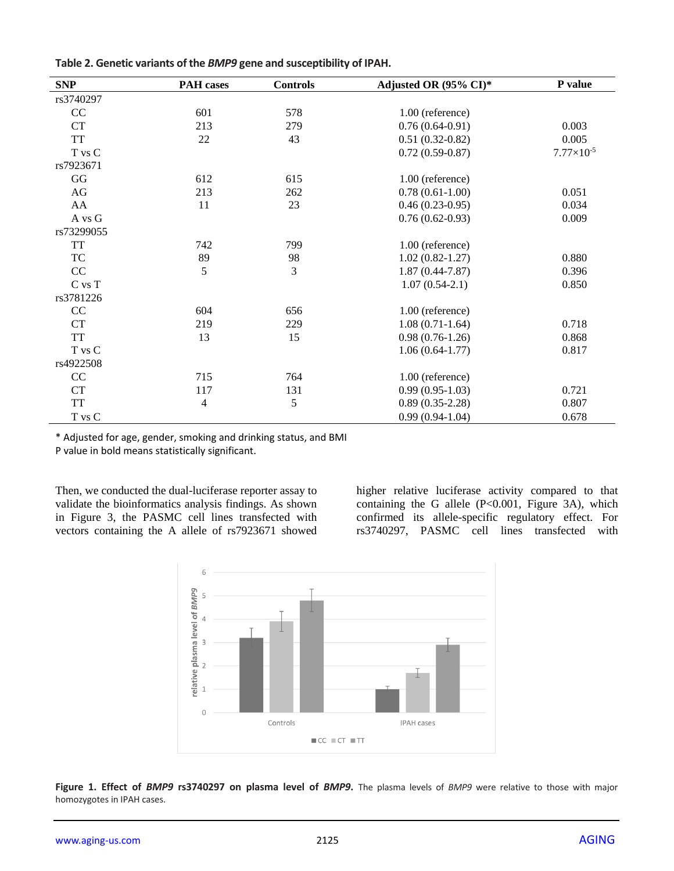| Table 2. Genetic variants of the BMP9 gene and susceptibility of IPAH. |  |
|------------------------------------------------------------------------|--|
|------------------------------------------------------------------------|--|

| <b>SNP</b>                                             | <b>PAH</b> cases | <b>Controls</b> | Adjusted OR (95% CI)* | P value             |
|--------------------------------------------------------|------------------|-----------------|-----------------------|---------------------|
| rs3740297                                              |                  |                 |                       |                     |
| CC                                                     | 601              | 578             | 1.00 (reference)      |                     |
| CT                                                     | 213              | 279             | $0.76(0.64-0.91)$     | 0.003               |
| <b>TT</b>                                              | 22               | 43              | $0.51(0.32-0.82)$     | 0.005               |
| T vs C                                                 |                  |                 | $0.72(0.59-0.87)$     | $7.77\times10^{-5}$ |
| rs7923671                                              |                  |                 |                       |                     |
| GG                                                     | 612              | 615             | 1.00 (reference)      |                     |
| AG                                                     | 213              | 262             | $0.78(0.61-1.00)$     | 0.051               |
| AA                                                     | 11               | 23              | $0.46(0.23-0.95)$     | 0.034               |
| A vs G                                                 |                  |                 | $0.76(0.62-0.93)$     | 0.009               |
| rs73299055                                             |                  |                 |                       |                     |
| <b>TT</b>                                              | 742              | 799             | 1.00 (reference)      |                     |
| TC                                                     | 89               | 98              | $1.02(0.82 - 1.27)$   | 0.880               |
| CC                                                     | 5                | 3               | $1.87(0.44 - 7.87)$   | 0.396               |
| $\mathrm{C}\; \mathrm{vs} \; \mathrm{T}$               |                  |                 | $1.07(0.54-2.1)$      | 0.850               |
| rs3781226                                              |                  |                 |                       |                     |
| CC                                                     | 604              | 656             | 1.00 (reference)      |                     |
| CT                                                     | 219              | 229             | $1.08(0.71-1.64)$     | 0.718               |
| <b>TT</b>                                              | 13               | 15              | $0.98(0.76-1.26)$     | 0.868               |
| T vs C                                                 |                  |                 | $1.06(0.64-1.77)$     | 0.817               |
| rs4922508                                              |                  |                 |                       |                     |
| CC                                                     | 715              | 764             | 1.00 (reference)      |                     |
| CT                                                     | 117              | 131             | $0.99(0.95-1.03)$     | 0.721               |
| <b>TT</b>                                              | $\overline{4}$   | 5               | $0.89(0.35-2.28)$     | 0.807               |
| $\ensuremath{\mathsf{T}}$ vs $\ensuremath{\mathsf{C}}$ |                  |                 | $0.99(0.94-1.04)$     | 0.678               |

\* Adjusted for age, gender, smoking and drinking status, and BMI

P value in bold means statistically significant.

Then, we conducted the dual-luciferase reporter assay to validate the bioinformatics analysis findings. As shown in Figure 3, the PASMC cell lines transfected with vectors containing the A allele of rs7923671 showed

higher relative luciferase activity compared to that containing the G allele  $(P<0.001$ , Figure 3A), which confirmed its allele-specific regulatory effect. For rs3740297, PASMC cell lines transfected with



**Figure 1. Effect of** *BMP9* **rs3740297 on plasma level of** *BMP9***.** The plasma levels of *BMP9* were relative to those with major homozygotes in IPAH cases.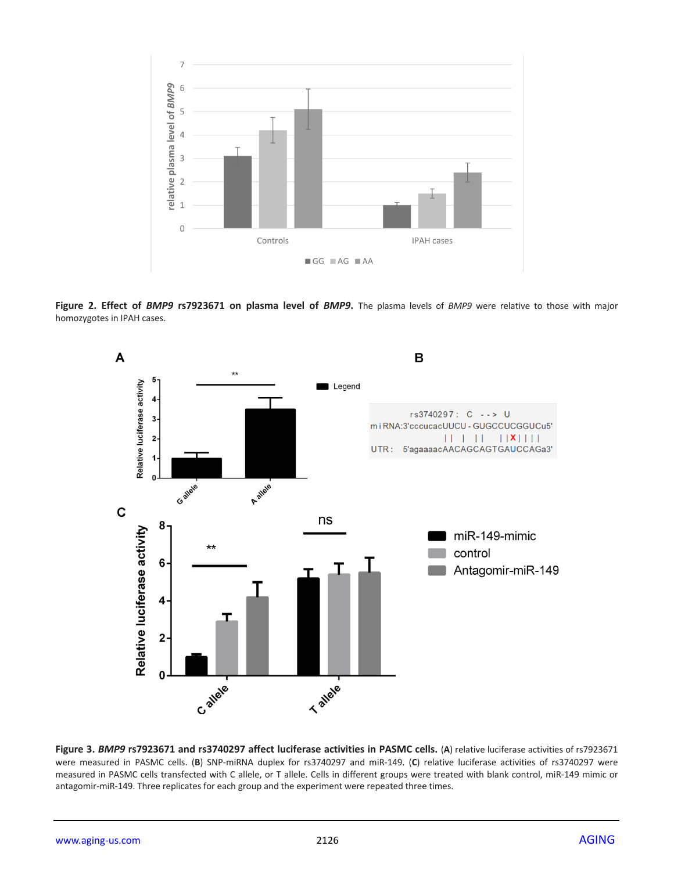

**Figure 2. Effect of** *BMP9* **rs7923671 on plasma level of** *BMP9***.** The plasma levels of *BMP9* were relative to those with major homozygotes in IPAH cases.



**Figure 3.** *BMP9* **rs7923671 and rs3740297 affect luciferase activities in PASMC cells.** (**A**) relative luciferase activities of rs7923671 were measured in PASMC cells. (**B**) SNP-miRNA duplex for rs3740297 and miR-149. (**C**) relative luciferase activities of rs3740297 were measured in PASMC cells transfected with C allele, or T allele. Cells in different groups were treated with blank control, miR-149 mimic or antagomir-miR-149. Three replicates for each group and the experiment were repeated three times.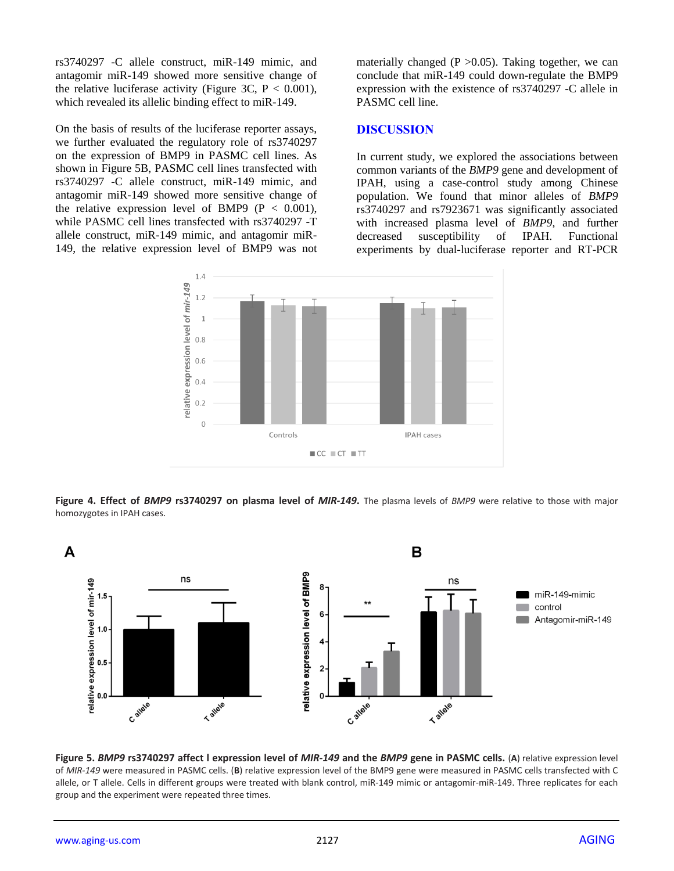rs3740297 -C allele construct, miR-149 mimic, and antagomir miR-149 showed more sensitive change of the relative luciferase activity (Figure 3C,  $P < 0.001$ ), which revealed its allelic binding effect to miR-149.

On the basis of results of the luciferase reporter assays, we further evaluated the regulatory role of rs3740297 on the expression of BMP9 in PASMC cell lines. As shown in Figure 5B, PASMC cell lines transfected with rs3740297 -C allele construct, miR-149 mimic, and antagomir miR-149 showed more sensitive change of the relative expression level of BMP9 ( $P < 0.001$ ), while PASMC cell lines transfected with rs3740297 -T allele construct, miR-149 mimic, and antagomir miR-149, the relative expression level of BMP9 was not materially changed ( $P > 0.05$ ). Taking together, we can conclude that miR-149 could down-regulate the BMP9 expression with the existence of rs3740297 -C allele in PASMC cell line.

#### **DISCUSSION**

In current study, we explored the associations between common variants of the *BMP9* gene and development of IPAH, using a case-control study among Chinese population. We found that minor alleles of *BMP9* rs3740297 and rs7923671 was significantly associated with increased plasma level of *BMP9*, and further decreased susceptibility of IPAH. Functional experiments by dual-luciferase reporter and RT-PCR



**Figure 4. Effect of** *BMP9* **rs3740297 on plasma level of** *MIR-149***.** The plasma levels of *BMP9* were relative to those with major homozygotes in IPAH cases.



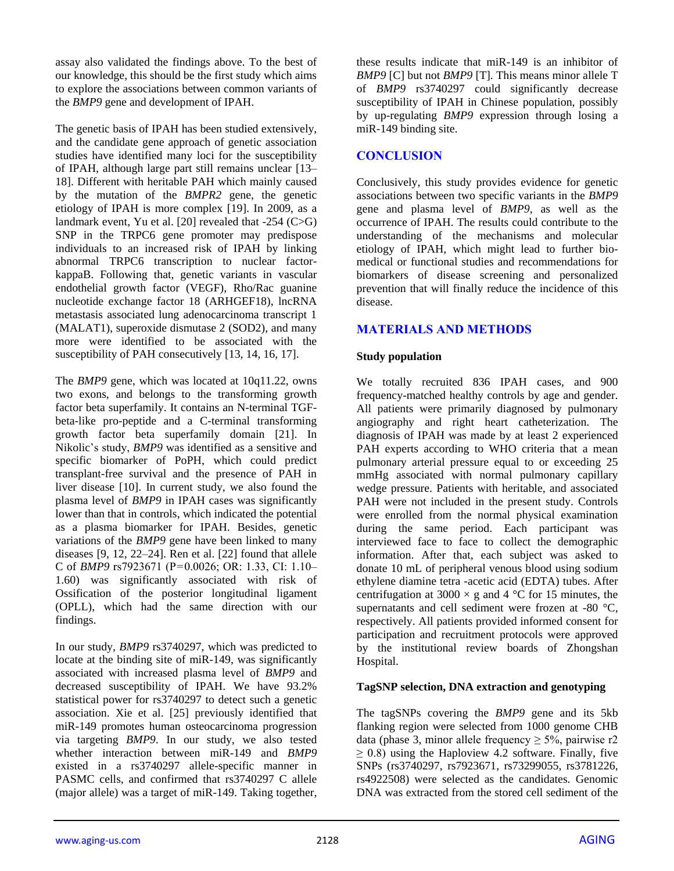assay also validated the findings above. To the best of our knowledge, this should be the first study which aims to explore the associations between common variants of the *BMP9* gene and development of IPAH.

The genetic basis of IPAH has been studied extensively, and the candidate gene approach of genetic association studies have identified many loci for the susceptibility of IPAH, although large part still remains unclear [13– 18]. Different with heritable PAH which mainly caused by the mutation of the *BMPR2* gene, the genetic etiology of IPAH is more complex [19]. In 2009, as a landmark event, Yu et al. [20] revealed that -254 (C>G) SNP in the TRPC6 gene promoter may predispose individuals to an increased risk of IPAH by linking abnormal TRPC6 transcription to nuclear factorkappaB. Following that, genetic variants in vascular endothelial growth factor (VEGF), Rho/Rac guanine nucleotide exchange factor 18 (ARHGEF18), lncRNA metastasis associated lung adenocarcinoma transcript 1 (MALAT1), superoxide dismutase 2 (SOD2), and many more were identified to be associated with the susceptibility of PAH consecutively [13, 14, 16, 17].

The *BMP9* gene, which was located at 10q11.22, owns two exons, and belongs to the transforming growth factor beta superfamily. It contains an N-terminal TGFbeta-like pro-peptide and a C-terminal transforming growth factor beta superfamily domain [21]. In Nikolic's study, *BMP9* was identified as a sensitive and specific biomarker of PoPH, which could predict transplant-free survival and the presence of PAH in liver disease [10]. In current study, we also found the plasma level of *BMP9* in IPAH cases was significantly lower than that in controls, which indicated the potential as a plasma biomarker for IPAH. Besides, genetic variations of the *BMP9* gene have been linked to many diseases [9, 12, 22–24]. Ren et al. [22] found that allele C of *BMP9* rs7923671 (P=0.0026; OR: 1.33, CI: 1.10– 1.60) was significantly associated with risk of Ossification of the posterior longitudinal ligament (OPLL), which had the same direction with our findings.

In our study, *BMP9* rs3740297, which was predicted to locate at the binding site of miR-149, was significantly associated with increased plasma level of *BMP9* and decreased susceptibility of IPAH. We have 93.2% statistical power for rs3740297 to detect such a genetic association. Xie et al. [25] previously identified that miR-149 promotes human osteocarcinoma progression via targeting *BMP9*. In our study, we also tested whether interaction between miR-149 and *BMP9* existed in a rs3740297 allele-specific manner in PASMC cells, and confirmed that rs3740297 C allele (major allele) was a target of miR-149. Taking together,

these results indicate that miR-149 is an inhibitor of *BMP9* [C] but not *BMP9* [T]. This means minor allele T of *BMP9* rs3740297 could significantly decrease susceptibility of IPAH in Chinese population, possibly by up-regulating *BMP9* expression through losing a miR-149 binding site.

# **CONCLUSION**

Conclusively, this study provides evidence for genetic associations between two specific variants in the *BMP9* gene and plasma level of *BMP9*, as well as the occurrence of IPAH. The results could contribute to the understanding of the mechanisms and molecular etiology of IPAH, which might lead to further biomedical or functional studies and recommendations for biomarkers of disease screening and personalized prevention that will finally reduce the incidence of this disease.

# **MATERIALS AND METHODS**

## **Study population**

We totally recruited 836 IPAH cases, and 900 frequency-matched healthy controls by age and gender. All patients were primarily diagnosed by pulmonary angiography and right heart catheterization. The diagnosis of IPAH was made by at least 2 experienced PAH experts according to WHO criteria that a mean pulmonary arterial pressure equal to or exceeding 25 mmHg associated with normal pulmonary capillary wedge pressure. Patients with heritable, and associated PAH were not included in the present study. Controls were enrolled from the normal physical examination during the same period. Each participant was interviewed face to face to collect the demographic information. After that, each subject was asked to donate 10 mL of peripheral venous blood using sodium ethylene diamine tetra -acetic acid (EDTA) tubes. After centrifugation at 3000  $\times$  g and 4 °C for 15 minutes, the supernatants and cell sediment were frozen at -80 °C, respectively. All patients provided informed consent for participation and recruitment protocols were approved by the institutional review boards of Zhongshan Hospital.

## **TagSNP selection, DNA extraction and genotyping**

The tagSNPs covering the *BMP9* gene and its 5kb flanking region were selected from 1000 genome CHB data (phase 3, minor allele frequency  $\geq$  5%, pairwise r2  $\geq$  0.8) using the Haploview 4.2 software. Finally, five SNPs (rs3740297, rs7923671, rs73299055, rs3781226, rs4922508) were selected as the candidates. Genomic DNA was extracted from the stored cell sediment of the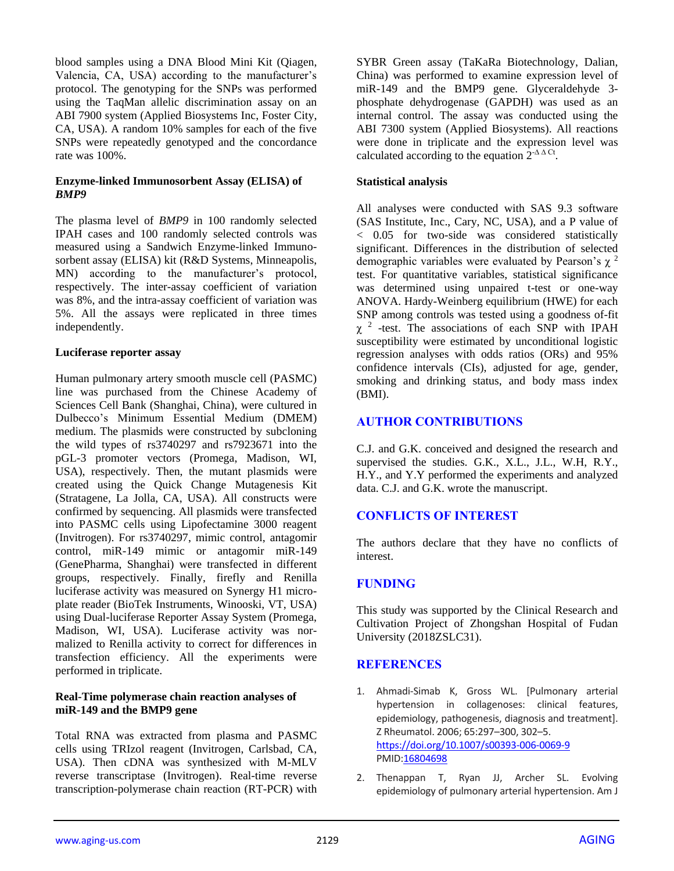blood samples using a DNA Blood Mini Kit (Qiagen, Valencia, CA, USA) according to the manufacturer's protocol. The genotyping for the SNPs was performed using the TaqMan allelic discrimination assay on an ABI 7900 system (Applied Biosystems Inc, Foster City, CA, USA). A random 10% samples for each of the five SNPs were repeatedly genotyped and the concordance rate was 100%.

## **Enzyme-linked Immunosorbent Assay (ELISA) of**  *BMP9*

The plasma level of *BMP9* in 100 randomly selected IPAH cases and 100 randomly selected controls was measured using a Sandwich Enzyme-linked Immunosorbent assay (ELISA) kit (R&D Systems, Minneapolis, MN) according to the manufacturer's protocol, respectively. The inter-assay coefficient of variation was 8%, and the intra-assay coefficient of variation was 5%. All the assays were replicated in three times independently.

#### **Luciferase reporter assay**

Human pulmonary artery smooth muscle cell (PASMC) line was purchased from the Chinese Academy of Sciences Cell Bank (Shanghai, China), were cultured in Dulbecco's Minimum Essential Medium (DMEM) medium. The plasmids were constructed by subcloning the wild types of rs3740297 and rs7923671 into the pGL-3 promoter vectors (Promega, Madison, WI, USA), respectively. Then, the mutant plasmids were created using the Quick Change Mutagenesis Kit (Stratagene, La Jolla, CA, USA). All constructs were confirmed by sequencing. All plasmids were transfected into PASMC cells using Lipofectamine 3000 reagent (Invitrogen). For rs3740297, mimic control, antagomir control, miR-149 mimic or antagomir miR-149 (GenePharma, Shanghai) were transfected in different groups, respectively. Finally, firefly and Renilla luciferase activity was measured on Synergy H1 microplate reader (BioTek Instruments, Winooski, VT, USA) using Dual-luciferase Reporter Assay System (Promega, Madison, WI, USA). Luciferase activity was normalized to Renilla activity to correct for differences in transfection efficiency. All the experiments were performed in triplicate.

#### **Real-Time polymerase chain reaction analyses of miR-149 and the BMP9 gene**

Total RNA was extracted from plasma and PASMC cells using TRIzol reagent (Invitrogen, Carlsbad, CA, USA). Then cDNA was synthesized with M-MLV reverse transcriptase (Invitrogen). Real-time reverse transcription-polymerase chain reaction (RT-PCR) with SYBR Green assay (TaKaRa Biotechnology, Dalian, China) was performed to examine expression level of miR-149 and the BMP9 gene. Glyceraldehyde 3 phosphate dehydrogenase (GAPDH) was used as an internal control. The assay was conducted using the ABI 7300 system (Applied Biosystems). All reactions were done in triplicate and the expression level was calculated according to the equation  $2^{-\Delta \Delta Ct}$ .

## **Statistical analysis**

All analyses were conducted with SAS 9.3 software (SAS Institute, Inc., Cary, NC, USA), and a P value of < 0.05 for two-side was considered statistically significant. Differences in the distribution of selected demographic variables were evaluated by Pearson's  $\chi^2$ test. For quantitative variables, statistical significance was determined using unpaired t-test or one-way ANOVA. Hardy-Weinberg equilibrium (HWE) for each SNP among controls was tested using a goodness of-fit  $\chi$ <sup>2</sup> -test. The associations of each SNP with IPAH susceptibility were estimated by unconditional logistic regression analyses with odds ratios (ORs) and 95% confidence intervals (CIs), adjusted for age, gender, smoking and drinking status, and body mass index (BMI).

## **AUTHOR CONTRIBUTIONS**

C.J. and G.K. conceived and designed the research and supervised the studies. G.K., X.L., J.L., W.H, R.Y., H.Y., and Y.Y performed the experiments and analyzed data. C.J. and G.K. wrote the manuscript.

# **CONFLICTS OF INTEREST**

The authors declare that they have no conflicts of interest.

## **FUNDING**

This study was supported by the Clinical Research and Cultivation Project of Zhongshan Hospital of Fudan University (2018ZSLC31).

## **REFERENCES**

- 1. Ahmadi-Simab K, Gross WL. [Pulmonary arterial hypertension in collagenoses: clinical features, epidemiology, pathogenesis, diagnosis and treatment]. Z Rheumatol. 2006; 65:297–300, 302–5. <https://doi.org/10.1007/s00393-006-0069-9> PMI[D:16804698](https://www.ncbi.nlm.nih.gov/pubmed/16804698)
- 2. Thenappan T, Ryan JJ, Archer SL. Evolving epidemiology of pulmonary arterial hypertension. Am J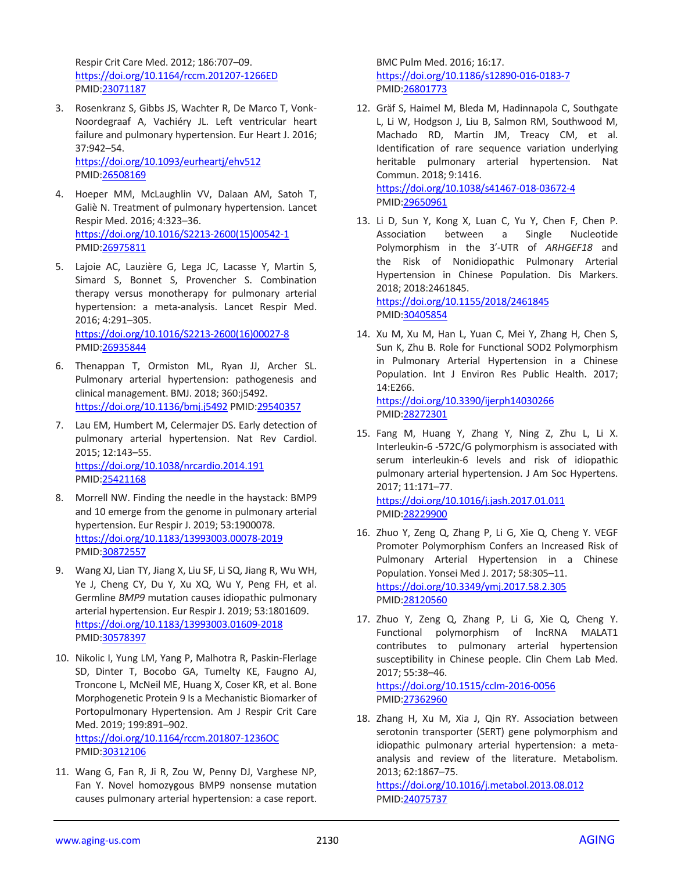Respir Crit Care Med. 2012; 186:707–09. <https://doi.org/10.1164/rccm.201207-1266ED> PMID[:23071187](https://www.ncbi.nlm.nih.gov/pubmed/23071187)

- 3. Rosenkranz S, Gibbs JS, Wachter R, De Marco T, Vonk-Noordegraaf A, Vachiéry JL. Left ventricular heart failure and pulmonary hypertension. Eur Heart J. 2016; 37:942–54. <https://doi.org/10.1093/eurheartj/ehv512> PMID[:26508169](https://www.ncbi.nlm.nih.gov/pubmed/26508169)
- 4. Hoeper MM, McLaughlin VV, Dalaan AM, Satoh T, Galiè N. Treatment of pulmonary hypertension. Lancet Respir Med. 2016; 4:323–36. [https://doi.org/10.1016/S2213-2600\(15\)00542-1](https://doi.org/10.1016/S2213-2600%2815%2900542-1) PMID[:26975811](https://www.ncbi.nlm.nih.gov/pubmed/26975811)
- 5. Lajoie AC, Lauzière G, Lega JC, Lacasse Y, Martin S, Simard S, Bonnet S, Provencher S. Combination therapy versus monotherapy for pulmonary arterial hypertension: a meta-analysis. Lancet Respir Med. 2016; 4:291–305. [https://doi.org/10.1016/S2213-2600\(16\)00027-8](https://doi.org/10.1016/S2213-2600%2816%2900027-8) PMID[:26935844](https://www.ncbi.nlm.nih.gov/pubmed/26935844)
- 6. Thenappan T, Ormiston ML, Ryan JJ, Archer SL. Pulmonary arterial hypertension: pathogenesis and clinical management. BMJ. 2018; 360:j5492. <https://doi.org/10.1136/bmj.j5492> PMI[D:29540357](https://www.ncbi.nlm.nih.gov/pubmed/29540357)
- 7. Lau EM, Humbert M, Celermajer DS. Early detection of pulmonary arterial hypertension. Nat Rev Cardiol. 2015; 12:143–55. <https://doi.org/10.1038/nrcardio.2014.191> PMID[:25421168](https://www.ncbi.nlm.nih.gov/pubmed/25421168)
- 8. Morrell NW. Finding the needle in the haystack: BMP9 and 10 emerge from the genome in pulmonary arterial hypertension. Eur Respir J. 2019; 53:1900078. <https://doi.org/10.1183/13993003.00078-2019> PMID[:30872557](https://www.ncbi.nlm.nih.gov/pubmed/30872557)
- 9. Wang XJ, Lian TY, Jiang X, Liu SF, Li SQ, Jiang R, Wu WH, Ye J, Cheng CY, Du Y, Xu XQ, Wu Y, Peng FH, et al. Germline *BMP9* mutation causes idiopathic pulmonary arterial hypertension. Eur Respir J. 2019; 53:1801609. <https://doi.org/10.1183/13993003.01609-2018> PMID[:30578397](https://www.ncbi.nlm.nih.gov/pubmed/30578397)
- 10. Nikolic I, Yung LM, Yang P, Malhotra R, Paskin-Flerlage SD, Dinter T, Bocobo GA, Tumelty KE, Faugno AJ, Troncone L, McNeil ME, Huang X, Coser KR, et al. Bone Morphogenetic Protein 9 Is a Mechanistic Biomarker of Portopulmonary Hypertension. Am J Respir Crit Care Med. 2019; 199:891–902. <https://doi.org/10.1164/rccm.201807-1236OC> PMID[:30312106](https://www.ncbi.nlm.nih.gov/pubmed/30312106)
- 11. Wang G, Fan R, Ji R, Zou W, Penny DJ, Varghese NP, Fan Y. Novel homozygous BMP9 nonsense mutation causes pulmonary arterial hypertension: a case report.

BMC Pulm Med. 2016; 16:17. <https://doi.org/10.1186/s12890-016-0183-7> PMI[D:26801773](https://www.ncbi.nlm.nih.gov/pubmed/26801773)

12. Gräf S, Haimel M, Bleda M, Hadinnapola C, Southgate L, Li W, Hodgson J, Liu B, Salmon RM, Southwood M, Machado RD, Martin JM, Treacy CM, et al. Identification of rare sequence variation underlying heritable pulmonary arterial hypertension. Nat Commun. 2018; 9:1416. <https://doi.org/10.1038/s41467-018-03672-4>

PMI[D:29650961](https://www.ncbi.nlm.nih.gov/pubmed/29650961)

13. Li D, Sun Y, Kong X, Luan C, Yu Y, Chen F, Chen P. Association between a Single Nucleotide Polymorphism in the 3′-UTR of *ARHGEF18* and the Risk of Nonidiopathic Pulmonary Arterial Hypertension in Chinese Population. Dis Markers. 2018; 2018:2461845. <https://doi.org/10.1155/2018/2461845>

PMI[D:30405854](https://www.ncbi.nlm.nih.gov/pubmed/30405854)

14. Xu M, Xu M, Han L, Yuan C, Mei Y, Zhang H, Chen S, Sun K, Zhu B. Role for Functional SOD2 Polymorphism in Pulmonary Arterial Hypertension in a Chinese Population. Int J Environ Res Public Health. 2017; 14:E266.

<https://doi.org/10.3390/ijerph14030266> PMI[D:28272301](https://www.ncbi.nlm.nih.gov/pubmed/28272301)

- 15. Fang M, Huang Y, Zhang Y, Ning Z, Zhu L, Li X. Interleukin-6 -572C/G polymorphism is associated with serum interleukin-6 levels and risk of idiopathic pulmonary arterial hypertension. J Am Soc Hypertens. 2017; 11:171–77. <https://doi.org/10.1016/j.jash.2017.01.011> PMI[D:28229900](https://www.ncbi.nlm.nih.gov/pubmed/28229900)
- 16. Zhuo Y, Zeng Q, Zhang P, Li G, Xie Q, Cheng Y. VEGF Promoter Polymorphism Confers an Increased Risk of Pulmonary Arterial Hypertension in a Chinese Population. Yonsei Med J. 2017; 58:305–11. <https://doi.org/10.3349/ymj.2017.58.2.305> PMI[D:28120560](https://www.ncbi.nlm.nih.gov/pubmed/28120560)
- 17. Zhuo Y, Zeng Q, Zhang P, Li G, Xie Q, Cheng Y. Functional polymorphism of lncRNA MALAT1 contributes to pulmonary arterial hypertension susceptibility in Chinese people. Clin Chem Lab Med. 2017; 55:38–46. <https://doi.org/10.1515/cclm-2016-0056>

PMI[D:27362960](https://www.ncbi.nlm.nih.gov/pubmed/27362960)

18. Zhang H, Xu M, Xia J, Qin RY. Association between serotonin transporter (SERT) gene polymorphism and idiopathic pulmonary arterial hypertension: a metaanalysis and review of the literature. Metabolism. 2013; 62:1867–75.

<https://doi.org/10.1016/j.metabol.2013.08.012> PMI[D:24075737](https://www.ncbi.nlm.nih.gov/pubmed/24075737)